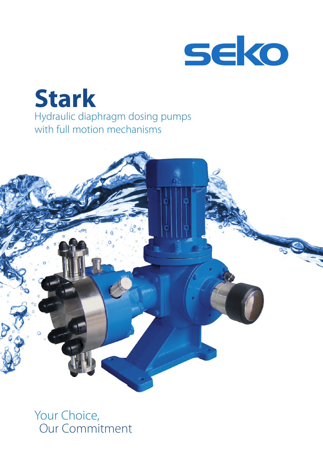

## **Stark** Hydraulic diaphragm dosing pumps with full motion mechanisms



Your Choice, Our Commitment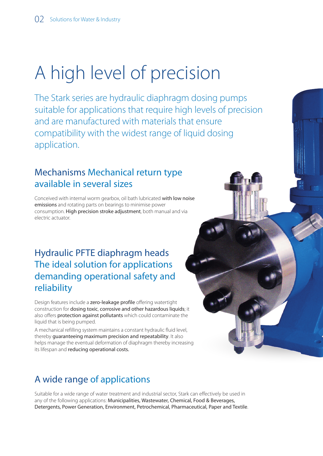# A high level of precision

The Stark series are hydraulic diaphragm dosing pumps suitable for applications that require high levels of precision and are manufactured with materials that ensure compatibility with the widest range of liquid dosing application.

#### Mechanisms Mechanical return type available in several sizes

Conceived with internal worm gearbox, oil bath lubricated with low noise emissions and rotating parts on bearings to minimise power consumption. High precision stroke adjustment, both manual and via electric actuator.

#### Hydraulic PFTE diaphragm heads The ideal solution for applications demanding operational safety and reliability

Design features include a zero-leakage profile offering watertight construction for dosing toxic, corrosive and other hazardous liquids; it also offers protection against pollutants which could contaminate the liquid that is being pumped.

A mechanical refilling system maintains a constant hydraulic fluid level, thereby guaranteeing maximum precision and repeatability. It also helps manage the eventual deformation of diaphragm thereby increasing its lifespan and reducing operational costs.

#### A wide range of applications

Suitable for a wide range of water treatment and industrial sector, Stark can effectively be used in any of the following applications: Municipalities, Wastewater, Chemical, Food & Beverages, Detergents, Power Generation, Environment, Petrochemical, Pharmaceutical, Paper and Textile.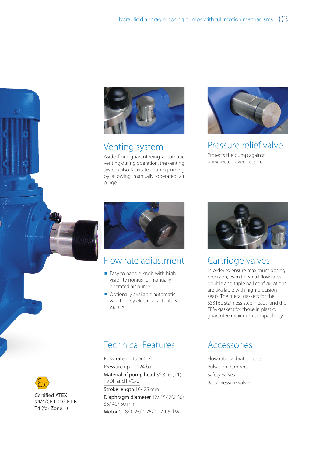

#### Venting system

Aside from guaranteeing automatic venting during operation, the venting system also facilitates pump priming by allowing manually operated air purge.



Pressure relief valve

Protects the pump against unexpected overpressure.



#### Flow rate adjustment

- Easy to handle knob with high visibility nonius for manually operated air purge
- Optionally available automatic variation by electrical actuators **AKTUA**



#### Cartridge valves

In order to ensure maximum dosing precision, even for small flow rates, double and triple ball configurations are available with high precision seats. The metal gaskets for the SS316L stainless steel heads, and the FPM gaskets for those in plastic, guarantee maximum compatibility.

#### Technical Features

Flow rate up to 660 l/h Pressure up to 124 bar Material of pump head SS 316L, PP, PVDF and PVC-U Stroke length 10/25 mm Diaphragm diameter 12/ 15/ 20/ 30/ 35/ 40/ 50 mm Motor 0.18/ 0.25/ 0.75/ 1.1/ 1.5 kW

#### Accessories

Flow rate calibration pots Pulsation dampers Safety valves Back pressure valves



Certified ATEX 94/4/CE II 2 G E IIB T4 (for Zone 1)